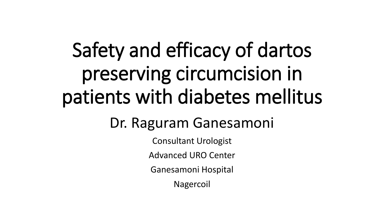# Safety and efficacy of dartos preserving circumcision in patients with diabetes mellitus

### Dr. Raguram Ganesamoni

Consultant Urologist

Advanced URO Center

Ganesamoni Hospital

Nagercoil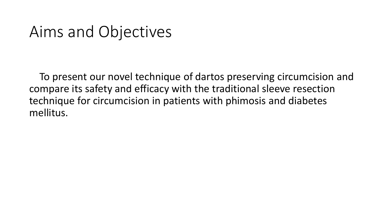### Aims and Objectives

 To present our novel technique of dartos preserving circumcision and compare its safety and efficacy with the traditional sleeve resection technique for circumcision in patients with phimosis and diabetes mellitus.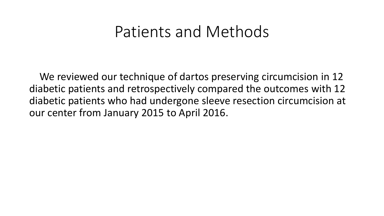#### Patients and Methods

 We reviewed our technique of dartos preserving circumcision in 12 diabetic patients and retrospectively compared the outcomes with 12 diabetic patients who had undergone sleeve resection circumcision at our center from January 2015 to April 2016.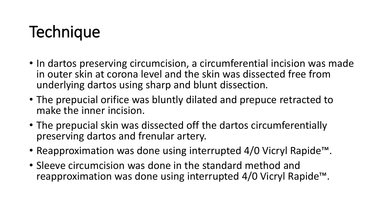- In dartos preserving circumcision, a circumferential incision was made in outer skin at corona level and the skin was dissected free from underlying dartos using sharp and blunt dissection.
- The prepucial orifice was bluntly dilated and prepuce retracted to make the inner incision.
- The prepucial skin was dissected off the dartos circumferentially preserving dartos and frenular artery.
- Reapproximation was done using interrupted 4/0 Vicryl Rapide™.
- Sleeve circumcision was done in the standard method and reapproximation was done using interrupted 4/0 Vicryl Rapide™.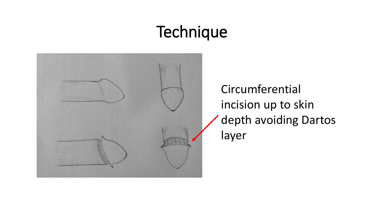

Circumferential incision up to skin depth avoiding Dartos layer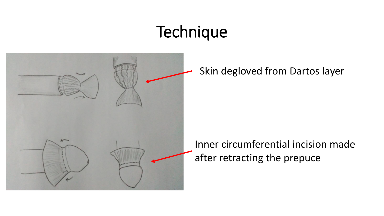

Skin degloved from Dartos layer

Inner circumferential incision made after retracting the prepuce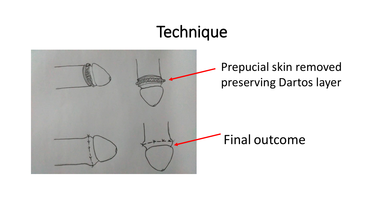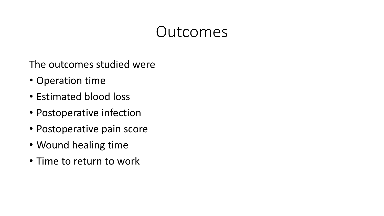### Outcomes

The outcomes studied were

- Operation time
- Estimated blood loss
- Postoperative infection
- Postoperative pain score
- Wound healing time
- Time to return to work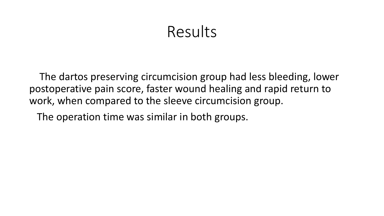#### Results

 The dartos preserving circumcision group had less bleeding, lower postoperative pain score, faster wound healing and rapid return to work, when compared to the sleeve circumcision group.

The operation time was similar in both groups.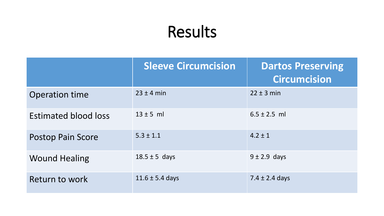## Results

|                             | <b>Sleeve Circumcision</b> | <b>Dartos Preserving</b><br><b>Circumcision</b> |
|-----------------------------|----------------------------|-------------------------------------------------|
| <b>Operation time</b>       | $23 \pm 4$ min             | $22 \pm 3$ min                                  |
| <b>Estimated blood loss</b> | $13 \pm 5$ ml              | $6.5 \pm 2.5$ ml                                |
| <b>Postop Pain Score</b>    | $5.3 \pm 1.1$              | $4.2 \pm 1$                                     |
| <b>Wound Healing</b>        | $18.5 \pm 5$ days          | $9 \pm 2.9$ days                                |
| Return to work              | $11.6 \pm 5.4$ days        | 7.4 $\pm$ 2.4 days                              |